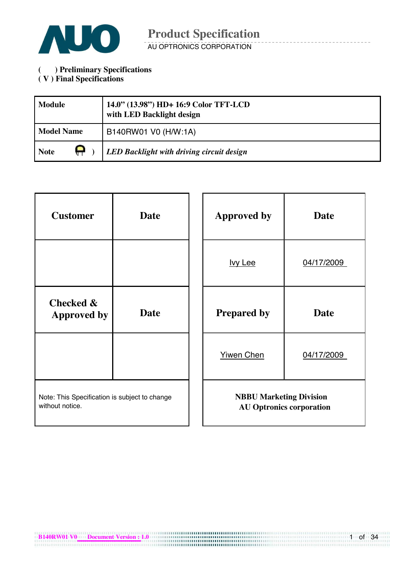

**( ) Preliminary Specifications** 

### **( V ) Final Specifications**

| <b>Module</b>     | 14.0" (13.98") HD+ 16:9 Color TFT-LCD<br>with LED Backlight design |
|-------------------|--------------------------------------------------------------------|
| <b>Model Name</b> | B140RW01 V0 (H/W:1A)                                               |
| <b>Note</b>       | LED Backlight with driving circuit design                          |

| <b>Customer</b>                                                  | <b>Date</b> |  | <b>Approved by</b>             | <b>Date</b>                     |
|------------------------------------------------------------------|-------------|--|--------------------------------|---------------------------------|
|                                                                  |             |  | <b>lvy Lee</b>                 | 04/17/2009                      |
| Checked &<br><b>Approved by</b>                                  | <b>Date</b> |  | <b>Prepared by</b>             | <b>Date</b>                     |
|                                                                  |             |  | <b>Yiwen Chen</b>              | 04/17/2009                      |
| Note: This Specification is subject to change<br>without notice. |             |  | <b>NBBU Marketing Division</b> | <b>AU Optronics corporation</b> |

1 of 34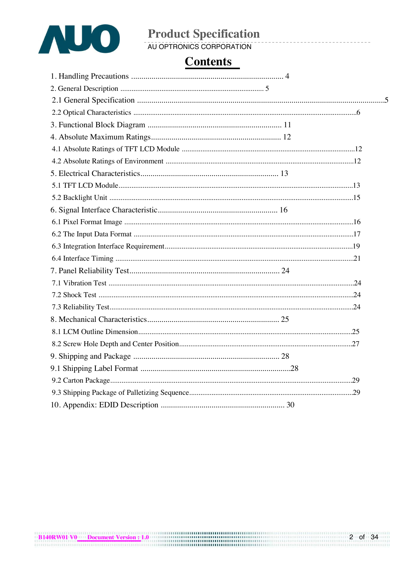

# **Product Specification**<br>AU OPTRONICS CORPORATION

# **Contents**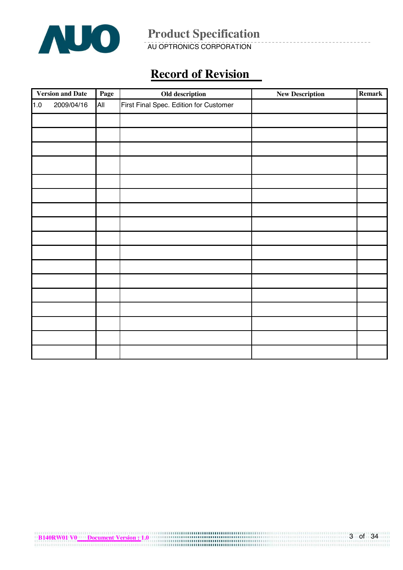

AU OPTRONICS CORPORATION

# **Record of Revision**

|     | <b>Version and Date</b> | Page | Old description                        | <b>New Description</b> | <b>Remark</b> |
|-----|-------------------------|------|----------------------------------------|------------------------|---------------|
| 1.0 | 2009/04/16              | All  | First Final Spec. Edition for Customer |                        |               |
|     |                         |      |                                        |                        |               |
|     |                         |      |                                        |                        |               |
|     |                         |      |                                        |                        |               |
|     |                         |      |                                        |                        |               |
|     |                         |      |                                        |                        |               |
|     |                         |      |                                        |                        |               |
|     |                         |      |                                        |                        |               |
|     |                         |      |                                        |                        |               |
|     |                         |      |                                        |                        |               |
|     |                         |      |                                        |                        |               |
|     |                         |      |                                        |                        |               |
|     |                         |      |                                        |                        |               |
|     |                         |      |                                        |                        |               |
|     |                         |      |                                        |                        |               |
|     |                         |      |                                        |                        |               |
|     |                         |      |                                        |                        |               |
|     |                         |      |                                        |                        |               |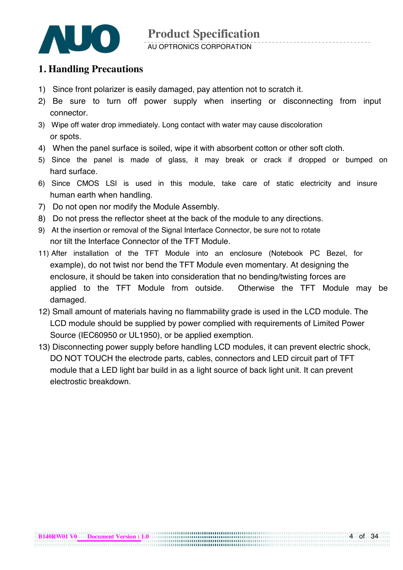

#### AU OPTRONICS CORPORATION

### **1. Handling Precautions**

- 1) Since front polarizer is easily damaged, pay attention not to scratch it.
- 2) Be sure to turn off power supply when inserting or disconnecting from input connector.
- 3) Wipe off water drop immediately. Long contact with water may cause discoloration or spots.
- 4) When the panel surface is soiled, wipe it with absorbent cotton or other soft cloth.
- 5) Since the panel is made of glass, it may break or crack if dropped or bumped on hard surface.
- 6) Since CMOS LSI is used in this module, take care of static electricity and insure human earth when handling.
- 7) Do not open nor modify the Module Assembly.
- 8) Do not press the reflector sheet at the back of the module to any directions.
- 9) At the insertion or removal of the Signal Interface Connector, be sure not to rotate nor tilt the Interface Connector of the TFT Module.
- 11) After installation of the TFT Module into an enclosure (Notebook PC Bezel, for example), do not twist nor bend the TFT Module even momentary. At designing the enclosure, it should be taken into consideration that no bending/twisting forces are applied to the TFT Module from outside. Otherwise the TFT Module may be damaged.
- 12) Small amount of materials having no flammability grade is used in the LCD module. The LCD module should be supplied by power complied with requirements of Limited Power Source (IEC60950 or UL1950), or be applied exemption.
- 13) Disconnecting power supply before handling LCD modules, it can prevent electric shock, DO NOT TOUCH the electrode parts, cables, connectors and LED circuit part of TFT module that a LED light bar build in as a light source of back light unit. It can prevent electrostic breakdown.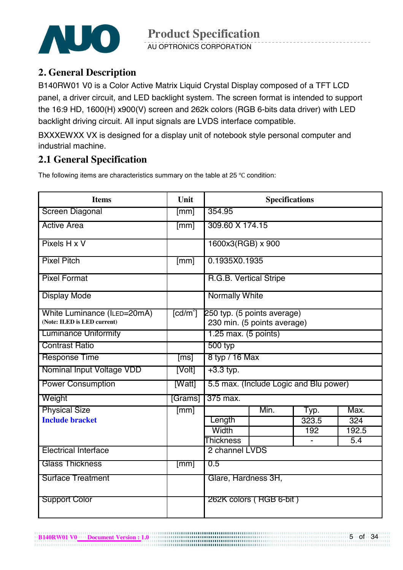

AU OPTRONICS CORPORATION

### **2. General Description**

B140RW01 V0 is a Color Active Matrix Liquid Crystal Display composed of a TFT LCD panel, a driver circuit, and LED backlight system. The screen format is intended to support the 16:9 HD, 1600(H) x900(V) screen and 262k colors (RGB 6-bits data driver) with LED backlight driving circuit. All input signals are LVDS interface compatible.

BXXXEWXX VX is designed for a display unit of notebook style personal computer and industrial machine.

### **2.1 General Specification**

**B140RW01 V0 Document Version : 1.0 <b>***B140RW01 V0* Document Version : 1.0

The following items are characteristics summary on the table at 25  $\degree$ C condition:

| <b>Items</b>                                               | Unit                            |                                                            | <b>Specifications</b>   |                                        |                  |  |  |
|------------------------------------------------------------|---------------------------------|------------------------------------------------------------|-------------------------|----------------------------------------|------------------|--|--|
| <b>Screen Diagonal</b>                                     | [mm]                            | 354.95                                                     |                         |                                        |                  |  |  |
| <b>Active Area</b>                                         | [mm]                            | 309.60 X 174.15                                            |                         |                                        |                  |  |  |
| Pixels H x V                                               |                                 | 1600x3(RGB) x 900                                          |                         |                                        |                  |  |  |
| <b>Pixel Pitch</b>                                         | $\sqrt{mm}$                     | 0.1935X0.1935                                              |                         |                                        |                  |  |  |
| <b>Pixel Format</b>                                        |                                 | R.G.B. Vertical Stripe                                     |                         |                                        |                  |  |  |
| <b>Display Mode</b>                                        |                                 | <b>Normally White</b>                                      |                         |                                        |                  |  |  |
| White Luminance (ILED=20mA)<br>(Note: ILED is LED current) | $\lceil \mathsf{cd/m}^2 \rceil$ | 250 typ. (5 points average)<br>230 min. (5 points average) |                         |                                        |                  |  |  |
| <b>Luminance Uniformity</b>                                |                                 | $1.25$ max. $(5$ points)                                   |                         |                                        |                  |  |  |
| <b>Contrast Ratio</b>                                      |                                 | 500 typ                                                    |                         |                                        |                  |  |  |
| <b>Response Time</b>                                       | [ms]                            | 8 typ / 16 Max                                             |                         |                                        |                  |  |  |
| Nominal Input Voltage VDD                                  | [Volt]                          | $+3.3$ typ.                                                |                         |                                        |                  |  |  |
| <b>Power Consumption</b>                                   | [Watt]                          |                                                            |                         | 5.5 max. (Include Logic and Blu power) |                  |  |  |
| Weight                                                     | [Grams]                         | 375 max.                                                   |                         |                                        |                  |  |  |
| <b>Physical Size</b>                                       | $\sqrt{mm}$                     |                                                            | Min.                    | Typ.                                   | Max.             |  |  |
| <b>Include bracket</b>                                     |                                 | Length                                                     |                         | 323.5                                  | $\overline{324}$ |  |  |
|                                                            |                                 | Width                                                      |                         | 192                                    | 192.5            |  |  |
|                                                            |                                 | <b>Thickness</b>                                           |                         |                                        | 5.4              |  |  |
| <b>Electrical Interface</b>                                |                                 | 2 channel LVDS                                             |                         |                                        |                  |  |  |
| <b>Glass Thickness</b>                                     | $\lceil mm \rceil$              | 0.5                                                        |                         |                                        |                  |  |  |
| <b>Surface Treatment</b>                                   |                                 | Glare, Hardness 3H,                                        |                         |                                        |                  |  |  |
| <b>Support Color</b>                                       |                                 |                                                            | 262K colors (RGB 6-bit) |                                        |                  |  |  |

,,,,,,,,,,,,,,,,,,,,,,,,,,,,,,,,,

5 of 34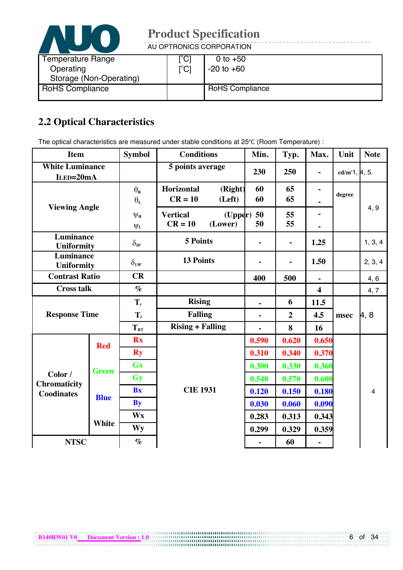

AU OPTRONICS CORPORATION

| Temperature Range<br>Operating<br>Storage (Non-Operating) | °C1<br>$\mathop{\rm l\mskip -3.5mu^{\circ}Cl}\nolimits$ | 0 to $+50$<br>$-20$ to $+60$ |
|-----------------------------------------------------------|---------------------------------------------------------|------------------------------|
| <b>RoHS Compliance</b>                                    |                                                         | <b>RoHS Compliance</b>       |

# **2.2 Optical Characteristics**

The optical characteristics are measured under stable conditions at 25°C (Room Temperature) :

| <b>Item</b>                         |              | <b>Symbol</b>                              | <b>Conditions</b>                                  | Min.                    | Typ.                         | Max.           | Unit                       | <b>Note</b>    |
|-------------------------------------|--------------|--------------------------------------------|----------------------------------------------------|-------------------------|------------------------------|----------------|----------------------------|----------------|
| <b>White Luminance</b><br>ILED=20mA |              |                                            | 5 points average                                   | 230                     | 250                          | $\blacksquare$ | cd/m <sup>2</sup> 1, 4, 5. |                |
|                                     |              | $\theta_{\mathbf{R}}$<br>$\theta_{\rm L}$  | Horizontal<br>(Right)<br>$CR = 10$<br>(Left)       | 60<br>60                | 65<br>65                     |                | degree                     |                |
| <b>Viewing Angle</b>                |              | $\Psi_{\mathbf{H}}$<br>$\Psi_{\mathbf{L}}$ | <b>Vertical</b><br>(Upper)<br>$CR = 10$<br>(Lower) | 50<br>50                | 55<br>55                     |                |                            | 4, 9           |
| Luminance<br><b>Uniformity</b>      |              | $\delta_{\text{SP}}$                       | <b>5 Points</b>                                    |                         | $\qquad \qquad \blacksquare$ | 1.25           |                            | 1, 3, 4        |
| Luminance<br><b>Uniformity</b>      |              | $\delta_{13P}$                             | <b>13 Points</b>                                   |                         | $\qquad \qquad \blacksquare$ | 1.50           |                            | 2, 3, 4        |
| <b>Contrast Ratio</b>               |              | CR                                         |                                                    | 400                     | 500                          | $\blacksquare$ |                            | 4,6            |
| <b>Cross talk</b><br>$\%$           |              |                                            |                                                    | $\overline{\mathbf{4}}$ |                              | 4, 7           |                            |                |
|                                     |              | $T_{r}$                                    | <b>Rising</b>                                      |                         | 6                            | 11.5           |                            |                |
| <b>Response Time</b>                |              | $T_{f}$                                    | <b>Falling</b>                                     | $\blacksquare$          | $\overline{2}$               | 4.5            | msec                       | $\mu$ , 8      |
|                                     |              | $T_{RT}$                                   | <b>Rising + Falling</b>                            |                         | 8                            | 16             |                            |                |
|                                     | <b>Red</b>   | <b>Rx</b>                                  |                                                    | 0.590                   | 0.620                        | 0.650          |                            |                |
|                                     |              | <b>Ry</b>                                  |                                                    | 0.310                   | 0.340                        | 0.370          |                            |                |
|                                     | <b>Green</b> | <b>Gx</b>                                  |                                                    | 0.300                   | 0.330                        | 0.360          |                            |                |
| Color /<br><b>Chromaticity</b>      |              | <b>Gy</b>                                  |                                                    | 0.540                   | 0.570                        | 0.600          |                            |                |
| <b>Coodinates</b>                   | <b>Blue</b>  | <b>Bx</b>                                  | <b>CIE 1931</b>                                    | 0.120                   | 0.150                        | 0.180          |                            | $\overline{4}$ |
|                                     |              | <b>By</b>                                  |                                                    | 0.030                   | 0.060                        | 0.090          |                            |                |
|                                     | <b>White</b> | <b>Wx</b>                                  |                                                    | 0.283                   | 0.313                        | 0.343          |                            |                |
|                                     |              | Wy                                         |                                                    | 0.299                   | 0.329                        | 0.359          |                            |                |
| <b>NTSC</b>                         |              | $\%$                                       |                                                    |                         | 60                           |                |                            |                |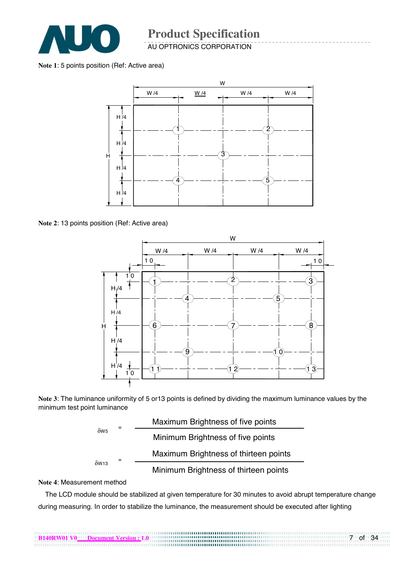

AU OPTRONICS CORPORATION

**Note 1**: 5 points position (Ref: Active area)



**Note 2**: 13 points position (Ref: Active area)



**Note 3**: The luminance uniformity of 5 or13 points is defined by dividing the maximum luminance values by the minimum test point luminance



#### **Note 4**: Measurement method

The LCD module should be stabilized at given temperature for 30 minutes to avoid abrupt temperature change during measuring. In order to stabilize the luminance, the measurement should be executed after lighting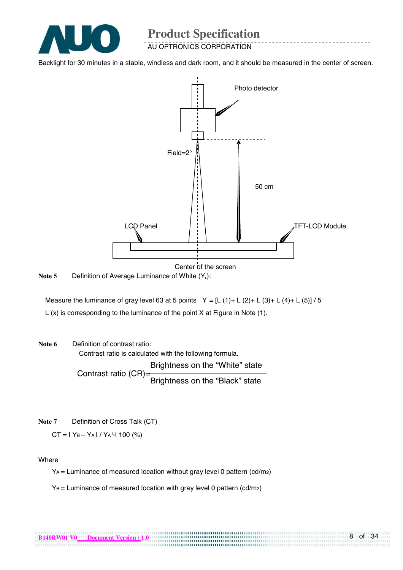

AU OPTRONICS CORPORATION

Backlight for 30 minutes in a stable, windless and dark room, and it should be measured in the center of screen.



Note 5 Definition of Average Luminance of White (Y<sub>L</sub>):

Measure the luminance of gray level 63 at 5 points  $Y_i = [L (1) + L (2) + L (3) + L (4) + L (5)] / 5$ L (x) is corresponding to the luminance of the point X at Figure in Note (1).

**Note 6** Definition of contrast ratio:

Contrast ratio is calculated with the following formula. Brightness on the "White" state Contrast ratio (CR)=<br>Brightness on the "Black" state

**Note 7** Definition of Cross Talk (CT)

 $CT = 1$  Y<sub>B</sub> – Y<sub>A</sub> | / Y<sub>A</sub> 4 100 (%)

#### Where

YA = Luminance of measured location without gray level 0 pattern (cd/m2)

 $Y_B =$  Luminance of measured location with gray level 0 pattern (cd/m2)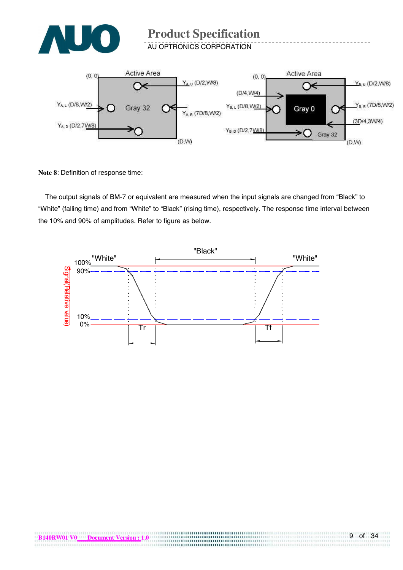

**AU OPTRONICS CORPORATION** 



**Note 8**: Definition of response time:

The output signals of BM-7 or equivalent are measured when the input signals are changed from "Black" to "White" (falling time) and from "White" to "Black" (rising time), respectively. The response time interval between the 10% and 90% of amplitudes. Refer to figure as below.

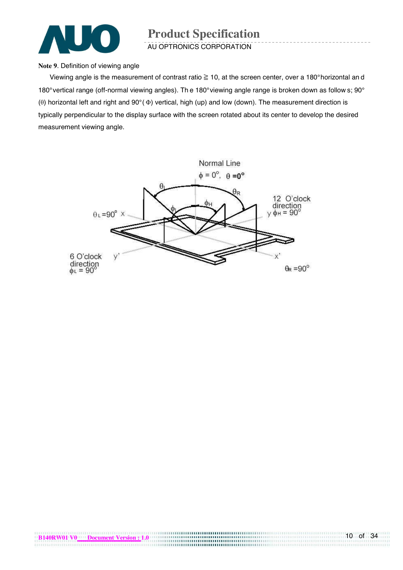

AU OPTRONICS CORPORATION

#### **Note 9**. Definition of viewing angle

Viewing angle is the measurement of contrast ratio  $\geq$  10, at the screen center, over a 180° horizontal an d 180° vertical range (off-normal viewing angles). Th e 180° viewing angle range is broken down as follow s; 90° ( $\theta$ ) horizontal left and right and 90° ( $\Phi$ ) vertical, high (up) and low (down). The measurement direction is typically perpendicular to the display surface with the screen rotated about its center to develop the desired measurement viewing angle.

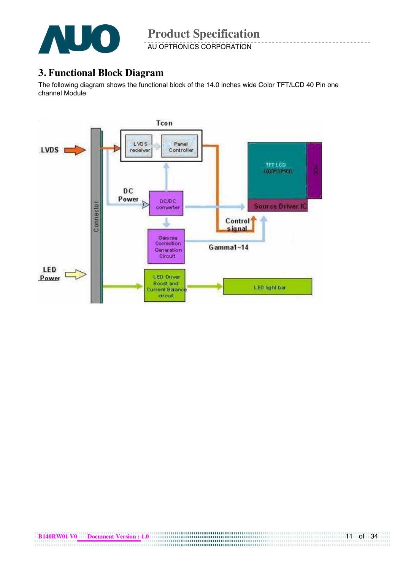

AU OPTRONICS CORPORATION

### **3. Functional Block Diagram**

The following diagram shows the functional block of the 14.0 inches wide Color TFT/LCD 40 Pin one channel Module

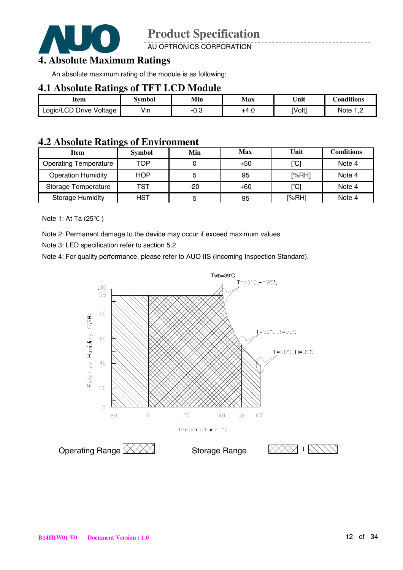

AU OPTRONICS CORPORATION

### **4. Absolute Maximum Ratings**

An absolute maximum rating of the module is as following:

#### **4.1 Absolute Ratings of TFT LCD Module**

| Item                    | Svmbol | Min  | Max  | Unit   | onditions. |
|-------------------------|--------|------|------|--------|------------|
| Logic/LCD Drive Voltage | Vin    | ن.∪- | +4.0 | [Volt] | Note       |

#### **4.2 Absolute Ratings of Environment**

|                              | . .           |       |       |                     |                   |
|------------------------------|---------------|-------|-------|---------------------|-------------------|
| <b>Item</b>                  | <b>Symbol</b> | Min   | Max   | Unit                | <b>Conditions</b> |
| <b>Operating Temperature</b> | TOP           |       | $+50$ | [°C]                | Note 4            |
| <b>Operation Humidity</b>    | <b>HOP</b>    |       | 95    | [%RH]               | Note 4            |
| Storage Temperature          | TST           | $-20$ | $+60$ | [°C]                | Note 4            |
| <b>Storage Humidity</b>      | <b>HST</b>    |       | 95    | $N$ <sub>6</sub> RH | Note 4            |

Note 1: At Ta  $(25^{\circ}C)$ 

Note 2: Permanent damage to the device may occur if exceed maximum values

Note 3: LED specification refer to section 5.2

Note 4: For quality performance, please refer to AUO IIS (Incoming Inspection Standard).

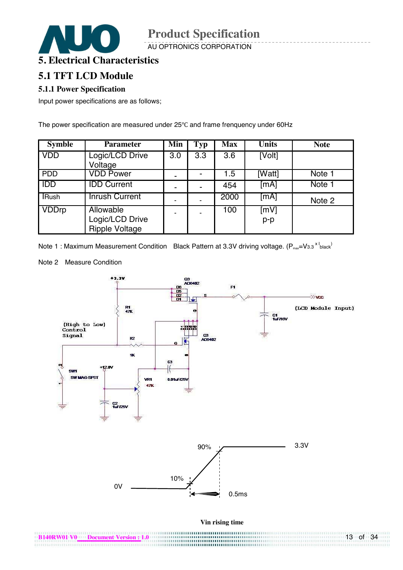AU OPTRONICS CORPORATION



#### **5.1 TFT LCD Module**

#### **5.1.1 Power Specification**

Input power specifications are as follows;

The power specification are measured under 25°C and frame frenquency under 60Hz

| <b>Symble</b> | <b>Parameter</b>                                      | Min | <b>Typ</b> | <b>Max</b> | <b>Units</b>  | <b>Note</b> |
|---------------|-------------------------------------------------------|-----|------------|------------|---------------|-------------|
| <b>VDD</b>    | Logic/LCD Drive<br>Voltage                            | 3.0 | 3.3        | 3.6        | [Volt]        |             |
| <b>PDD</b>    | <b>VDD Power</b>                                      |     |            | 1.5        | [Watt]        | Note 1      |
| <b>IDD</b>    | <b>IDD Current</b>                                    |     |            | 454        | [mA]          | Note 1      |
| <b>IRush</b>  | <b>Inrush Current</b>                                 |     |            | 2000       | [mA]          | Note 2      |
| <b>VDDrp</b>  | Allowable<br>Logic/LCD Drive<br><b>Ripple Voltage</b> |     |            | 100        | [mV]<br>$p-p$ |             |

Note 1: Maximum Measurement Condition Black Pattern at 3.3V driving voltage.  $(P_{\text{max}}=V_{3.3} \times I_{\text{black}})$ 

Note 2 Measure Condition

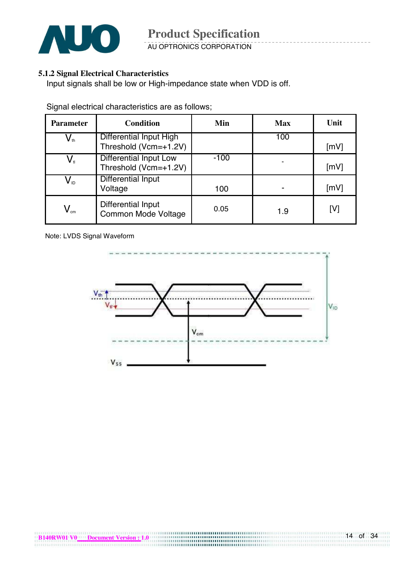

AU OPTRONICS CORPORATION

#### **5.1.2 Signal Electrical Characteristics**

Input signals shall be low or High-impedance state when VDD is off.

Signal electrical characteristics are as follows;

| <b>Parameter</b>                                  | <b>Condition</b>                                        | Min    | <b>Max</b> | Unit |
|---------------------------------------------------|---------------------------------------------------------|--------|------------|------|
| $\bm{\mathsf{V}}_{\scriptscriptstyle{\text{th}}}$ | <b>Differential Input High</b><br>Threshold (Vcm=+1.2V) |        | 100        | [mV] |
| $\mathsf{V}_{\scriptscriptstyle \mathsf{t}}$      | <b>Differential Input Low</b><br>Threshold (Vcm=+1.2V)  | $-100$ |            | [mV] |
| $\mathsf{V}_{\text{\tiny{ID}}}$                   | Differential Input<br>Voltage                           | 100    |            | [mV] |
| $V_{\text{cm}}$                                   | Differential Input<br>Common Mode Voltage               | 0.05   | 1.9        | [V]  |

Note: LVDS Signal Waveform

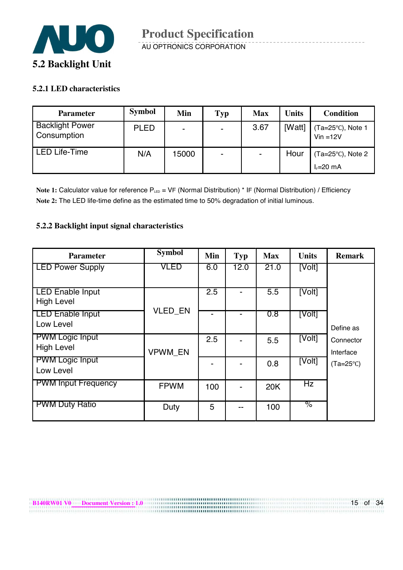

#### **5.2.1 LED characteristics**

| <b>Parameter</b>                      | <b>Symbol</b> | Min   | Typ                      | <b>Max</b>               | <b>Units</b> | <b>Condition</b>                  |
|---------------------------------------|---------------|-------|--------------------------|--------------------------|--------------|-----------------------------------|
| <b>Backlight Power</b><br>Consumption | <b>PLED</b>   | -     | $\sim$                   | 3.67                     | [Watt]       | (Ta=25°C), Note 1<br>$Vin = 12V$  |
| <b>LED Life-Time</b>                  | N/A           | 15000 | $\overline{\phantom{0}}$ | $\overline{\phantom{0}}$ | Hour         | Ta=25°C), Note 2<br>$I_F = 20$ mA |

Note 1: Calculator value for reference P<sub>LED</sub> = VF (Normal Distribution) \* IF (Normal Distribution) / Efficiency **Note 2:** The LED life-time define as the estimated time to 50% degradation of initial luminous.

#### **5.2.2 Backlight input signal characteristics**

**B140RW01 V0** Document Version : 1.0

| <b>Parameter</b>                             | <b>Symbol</b>  | Min              | <b>Typ</b> | <b>Max</b> | <b>Units</b> | <b>Remark</b>          |
|----------------------------------------------|----------------|------------------|------------|------------|--------------|------------------------|
| <b>LED Power Supply</b>                      | VLED           | 6.0              | 12.0       | 21.0       | [Volt]       |                        |
| <b>LED Enable Input</b><br><b>High Level</b> | <b>VLED_EN</b> | $\overline{2.5}$ |            | 5.5        | [Volt]       |                        |
| <b>LED Enable Input</b><br>Low Level         |                |                  | -          | 0.8        | [Volt]       | Define as              |
| <b>PWM Logic Input</b><br><b>High Level</b>  | <b>VPWM EN</b> | 2.5              |            | 5.5        | [Volt]       | Connector<br>Interface |
| <b>PWM Logic Input</b><br>Low Level          |                |                  |            | 0.8        | [Volt]       | $(Ta=25^{\circ}C)$     |
| <b>PWM Input Frequency</b>                   | <b>FPWM</b>    | 100              |            | 20K        | Hz           |                        |
| <b>PWM Duty Ratio</b>                        | Duty           | 5                | --         | 100        | %            |                        |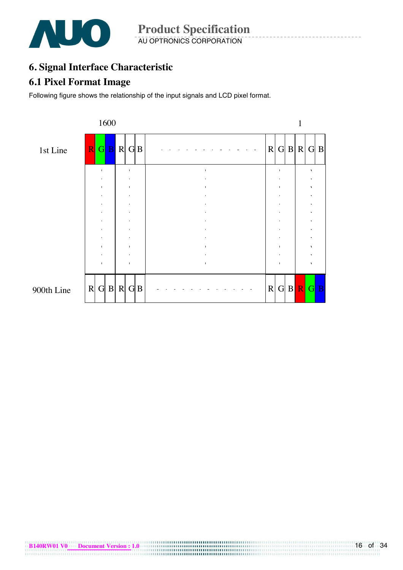

**Product Specification**  AU OPTRONICS CORPORATION

# **6. Signal Interface Characteristic**

#### **6.1 Pixel Format Image**

Following figure shows the relationship of the input signals and LCD pixel format.

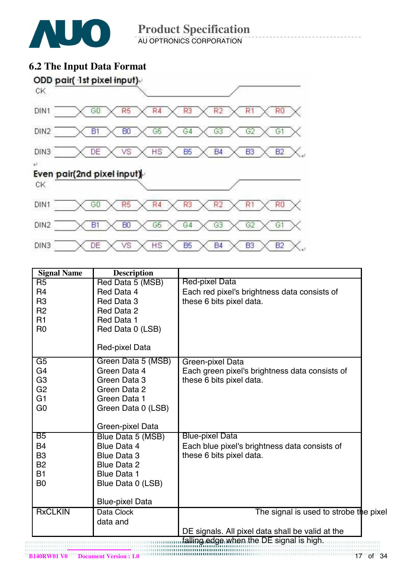

**Product Specification**  AU OPTRONICS CORPORATION

# **6.2 The Input Data Format**



| <b>Signal Name</b> | <b>Description</b>     |                                                  |
|--------------------|------------------------|--------------------------------------------------|
| R <sub>5</sub>     | Red Data 5 (MSB)       | Red-pixel Data                                   |
| R <sub>4</sub>     | Red Data 4             | Each red pixel's brightness data consists of     |
| R <sub>3</sub>     | Red Data 3             | these 6 bits pixel data.                         |
| R <sub>2</sub>     | Red Data 2             |                                                  |
| R1                 | Red Data 1             |                                                  |
| R <sub>0</sub>     | Red Data 0 (LSB)       |                                                  |
|                    | Red-pixel Data         |                                                  |
| $\overline{G5}$    | Green Data 5 (MSB)     | Green-pixel Data                                 |
| G4                 | Green Data 4           | Each green pixel's brightness data consists of   |
| G <sub>3</sub>     | Green Data 3           | these 6 bits pixel data.                         |
| G <sub>2</sub>     | Green Data 2           |                                                  |
| G <sub>1</sub>     | Green Data 1           |                                                  |
| G <sub>0</sub>     | Green Data 0 (LSB)     |                                                  |
|                    | Green-pixel Data       |                                                  |
| B5                 | Blue Data 5 (MSB)      | <b>Blue-pixel Data</b>                           |
| <b>B4</b>          | <b>Blue Data 4</b>     | Each blue pixel's brightness data consists of    |
| B <sub>3</sub>     | <b>Blue Data 3</b>     | these 6 bits pixel data.                         |
| <b>B2</b>          | <b>Blue Data 2</b>     |                                                  |
| <b>B1</b>          | <b>Blue Data 1</b>     |                                                  |
| B <sub>0</sub>     | Blue Data 0 (LSB)      |                                                  |
|                    | <b>Blue-pixel Data</b> |                                                  |
| <b>RxCLKIN</b>     | Data Clock             | The signal is used to strobe the pixel           |
|                    | data and               |                                                  |
|                    |                        | DE signals. All pixel data shall be valid at the |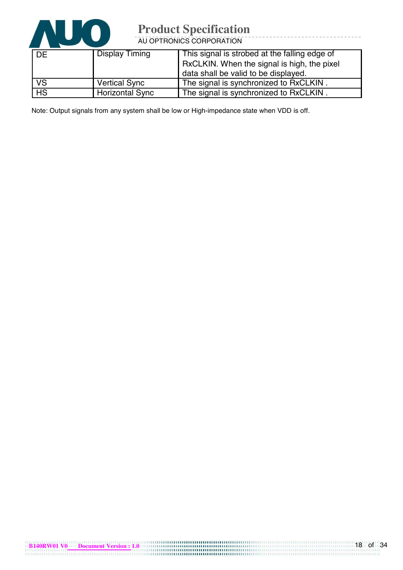

AU OPTRONICS CORPORATION

| DE        | <b>Display Timing</b> | This signal is strobed at the falling edge of<br>RxCLKIN. When the signal is high, the pixel<br>data shall be valid to be displayed. |
|-----------|-----------------------|--------------------------------------------------------------------------------------------------------------------------------------|
| <b>VS</b> | <b>Vertical Sync</b>  | The signal is synchronized to RxCLKIN.                                                                                               |
| HS        | Horizontal Sync       | The signal is synchronized to RxCLKIN.                                                                                               |

Note: Output signals from any system shall be low or High-impedance state when VDD is off.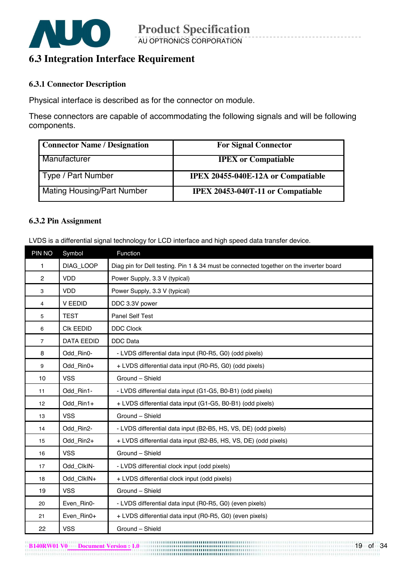

### **6.3 Integration Interface Requirement**

#### **6.3.1 Connector Description**

Physical interface is described as for the connector on module.

These connectors are capable of accommodating the following signals and will be following components.

| <b>Connector Name / Designation</b> | <b>For Signal Connector</b>              |
|-------------------------------------|------------------------------------------|
| Manufacturer                        | <b>IPEX</b> or Compatiable               |
| Type / Part Number                  | IPEX 20455-040E-12A or Compatiable       |
| Mating Housing/Part Number          | <b>IPEX 20453-040T-11 or Compatiable</b> |

#### **6.3.2 Pin Assignment**

LVDS is a differential signal technology for LCD interface and high speed data transfer device.

| PIN NO         | Symbol            | Function                                                                               |
|----------------|-------------------|----------------------------------------------------------------------------------------|
| $\mathbf{1}$   | DIAG_LOOP         | Diag pin for Dell testing. Pin 1 & 34 must be connected together on the inverter board |
| $\mathbf{2}$   | <b>VDD</b>        | Power Supply, 3.3 V (typical)                                                          |
| 3              | <b>VDD</b>        | Power Supply, 3.3 V (typical)                                                          |
| 4              | <b>V EEDID</b>    | DDC 3.3V power                                                                         |
| 5              | <b>TEST</b>       | Panel Self Test                                                                        |
| 6              | <b>CIK EEDID</b>  | <b>DDC Clock</b>                                                                       |
| $\overline{7}$ | <b>DATA EEDID</b> | <b>DDC</b> Data                                                                        |
| 8              | Odd_Rin0-         | - LVDS differential data input (R0-R5, G0) (odd pixels)                                |
| 9              | Odd_Rin0+         | + LVDS differential data input (R0-R5, G0) (odd pixels)                                |
| 10             | <b>VSS</b>        | Ground - Shield                                                                        |
| 11             | Odd Rin1-         | - LVDS differential data input (G1-G5, B0-B1) (odd pixels)                             |
| 12             | Odd_Rin1+         | + LVDS differential data input (G1-G5, B0-B1) (odd pixels)                             |
| 13             | <b>VSS</b>        | Ground - Shield                                                                        |
| 14             | Odd Rin2-         | - LVDS differential data input (B2-B5, HS, VS, DE) (odd pixels)                        |
| 15             | Odd Rin2+         | + LVDS differential data input (B2-B5, HS, VS, DE) (odd pixels)                        |
| 16             | <b>VSS</b>        | Ground - Shield                                                                        |
| 17             | Odd_ClkIN-        | - LVDS differential clock input (odd pixels)                                           |
| 18             | Odd_ClkIN+        | + LVDS differential clock input (odd pixels)                                           |
| 19             | <b>VSS</b>        | Ground - Shield                                                                        |
| 20             | Even_Rin0-        | - LVDS differential data input (R0-R5, G0) (even pixels)                               |
| 21             | Even_Rin0+        | + LVDS differential data input (R0-R5, G0) (even pixels)                               |
| 22             | <b>VSS</b>        | Ground - Shield                                                                        |

**B140RW01 V0** Document Version : 1.0 19 of 34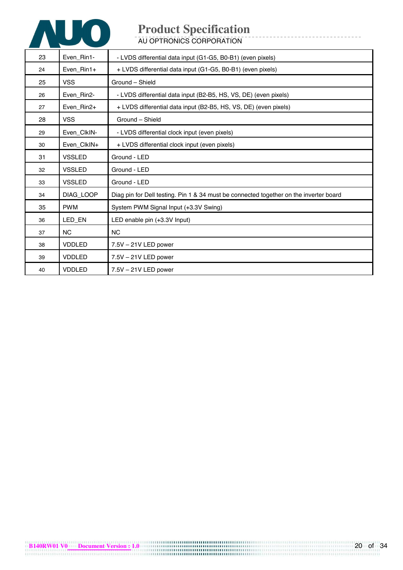

AU OPTRONICS CORPORATION

| 23 | Even_Rin1-     | - LVDS differential data input (G1-G5, B0-B1) (even pixels)                            |
|----|----------------|----------------------------------------------------------------------------------------|
| 24 | Even_Rin1+     | + LVDS differential data input (G1-G5, B0-B1) (even pixels)                            |
| 25 | <b>VSS</b>     | Ground - Shield                                                                        |
| 26 | Even_Rin2-     | - LVDS differential data input (B2-B5, HS, VS, DE) (even pixels)                       |
| 27 | Even_Rin2+     | + LVDS differential data input (B2-B5, HS, VS, DE) (even pixels)                       |
| 28 | <b>VSS</b>     | Ground - Shield                                                                        |
| 29 | Even_ClkIN-    | - LVDS differential clock input (even pixels)                                          |
| 30 | Even_ClkIN+    | + LVDS differential clock input (even pixels)                                          |
| 31 | <b>VSSLED</b>  | Ground - LED                                                                           |
| 32 | <b>VSSLED</b>  | Ground - LED                                                                           |
| 33 | <b>VSSLED</b>  | Ground - LED                                                                           |
| 34 | DIAG_LOOP      | Diag pin for Dell testing. Pin 1 & 34 must be connected together on the inverter board |
| 35 | <b>PWM</b>     | System PWM Signal Input (+3.3V Swing)                                                  |
| 36 | LED_EN         | LED enable pin (+3.3V Input)                                                           |
| 37 | N <sub>C</sub> | <b>NC</b>                                                                              |
| 38 | <b>VDDLED</b>  | 7.5V - 21V LED power                                                                   |
| 39 | VDDLED         | 7.5V - 21V LED power                                                                   |
| 40 | <b>VDDLED</b>  | $7.5V - 21V$ LED power                                                                 |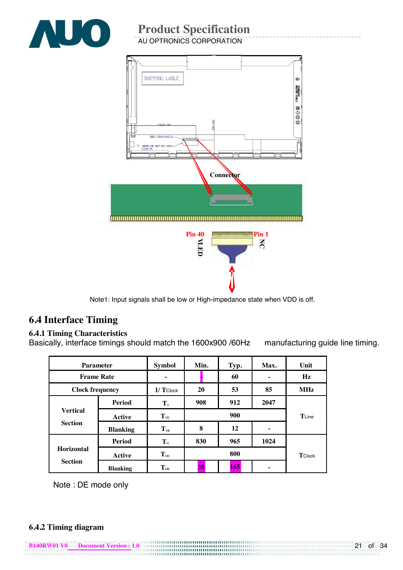

AU OPTRONICS CORPORATION



Note1: Input signals shall be low or High-impedance state when VDD is off.

## **6.4 Interface Timing**

#### **6.4.1 Timing Characteristics**

Basically, interface timings should match the 1600x900 /60Hz manufacturing guide line timing.

| <b>Parameter</b>                    |                 | <b>Symbol</b>     | Min. | Typ. | Max.  | Unit          |
|-------------------------------------|-----------------|-------------------|------|------|-------|---------------|
| <b>Frame Rate</b>                   |                 |                   |      | 60   | -     | $\mathbf{Hz}$ |
| <b>Clock frequency</b>              |                 | $1/T$ Clock       | 20   | 53   | 85    | <b>MHz</b>    |
|                                     | <b>Period</b>   | $T_{\nu}$         | 908  | 912  | 2047  |               |
| <b>Vertical</b><br><b>Section</b>   | Active          | $T_{VD}$          | 900  |      | TLine |               |
|                                     | <b>Blanking</b> | $T_{VB}$          | 8    | 12   |       |               |
|                                     | <b>Period</b>   | ${\bf T}_{\rm H}$ | 830  | 965  | 1024  |               |
| <b>Horizontal</b><br><b>Section</b> | <b>Active</b>   | $T_{HD}$          |      | 800  |       | TClock        |
|                                     | <b>Blanking</b> | $T_{HB}$          | 30   | 165  | ۰     |               |

Note : DE mode only

#### **6.4.2 Timing diagram**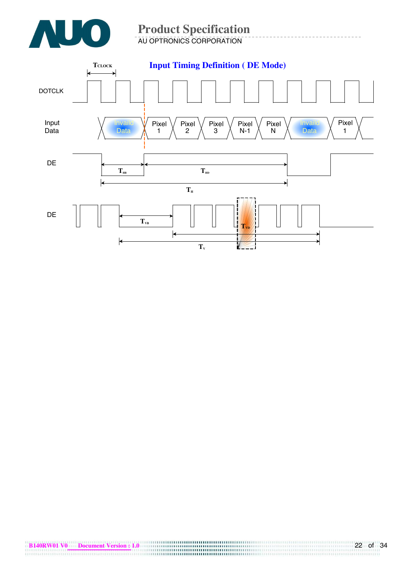

#### **Product Specification**  AU OPTRONICS CORPORATION

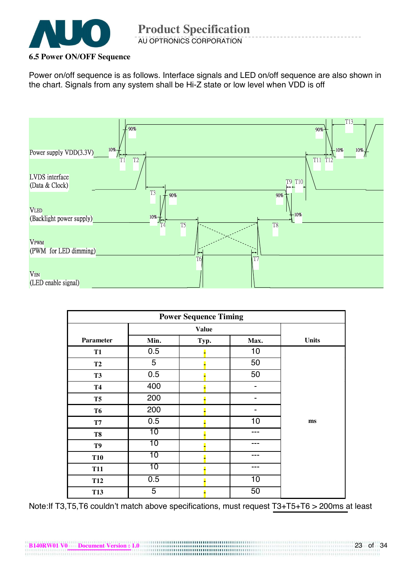

#### **6.5 Power ON/OFF Sequence**

Power on/off sequence is as follows. Interface signals and LED on/off sequence are also shown in the chart. Signals from any system shall be Hi-Z state or low level when VDD is off



| <b>Power Sequence Timing</b> |                 |      |                 |              |  |
|------------------------------|-----------------|------|-----------------|--------------|--|
|                              | <b>Value</b>    |      |                 |              |  |
| <b>Parameter</b>             | Min.            | Typ. | Max.            | <b>Units</b> |  |
| <b>T1</b>                    | 0.5             |      | 10              |              |  |
| <b>T2</b>                    | 5               |      | 50              |              |  |
| <b>T3</b>                    | 0.5             |      | 50              |              |  |
| <b>T4</b>                    | 400             |      | ۰               |              |  |
| T <sub>5</sub>               | 200             |      |                 |              |  |
| <b>T6</b>                    | 200             |      |                 |              |  |
| $\mathbf{T} \mathbf{7}$      | 0.5             |      | 10              | ms           |  |
| T8                           | $\overline{10}$ |      |                 |              |  |
| T9                           | 10              |      | ---             |              |  |
| <b>T10</b>                   | 10              |      | ---             |              |  |
| <b>T11</b>                   | 10              |      | ---             |              |  |
| <b>T12</b>                   | 0.5             |      | $\overline{10}$ |              |  |
| <b>T13</b>                   | 5               |      | 50              |              |  |

Note:If T3,T5,T6 couldn't match above specifications, must request T3+T5+T6 > 200ms at least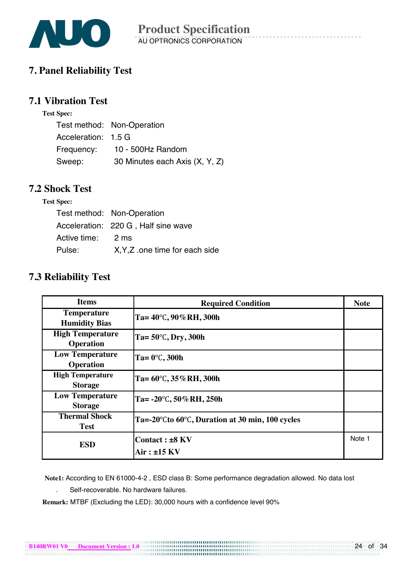

### **7. Panel Reliability Test**

#### **7.1 Vibration Test**

| est Spec: |
|-----------|
|           |

|                     | Test method: Non-Operation     |
|---------------------|--------------------------------|
| Acceleration: 1.5 G |                                |
| Frequency:          | 10 - 500Hz Random              |
| Sweep:              | 30 Minutes each Axis (X, Y, Z) |

#### **7.2 Shock Test**

#### **Test Spec:**

|                   | Test method: Non-Operation          |
|-------------------|-------------------------------------|
|                   | Acceleration: 220 G, Half sine wave |
| Active time: 2 ms |                                     |
| Pulse:            | X, Y, Z one time for each side      |

### **7.3 Reliability Test**

| <b>Items</b>                                | <b>Required Condition</b>                       | <b>Note</b> |
|---------------------------------------------|-------------------------------------------------|-------------|
| <b>Temperature</b><br><b>Humidity Bias</b>  | Ta= $40^{\circ}$ C, 90% RH, 300h                |             |
| <b>High Temperature</b><br><b>Operation</b> | Ta= $50^{\circ}$ C, Dry, 300h                   |             |
| <b>Low Temperature</b><br><b>Operation</b>  | Ta= $0^\circ$ C, 300h                           |             |
| <b>High Temperature</b><br><b>Storage</b>   | Ta= $60^{\circ}$ C, 35% RH, 300h                |             |
| <b>Low Temperature</b><br><b>Storage</b>    | Ta= $-20^{\circ}$ C, 50% RH, 250h               |             |
| <b>Thermal Shock</b><br><b>Test</b>         | Ta=-20°Cto 60°C, Duration at 30 min, 100 cycles |             |
| <b>ESD</b>                                  | Contact: ±8 KV<br>$Air: \pm 15$ KV              | Note 1      |

 **Note1:** According to EN 61000-4-2 , ESD class B: Some performance degradation allowed. No data lost

. Self-recoverable. No hardware failures.

**Remark:** MTBF (Excluding the LED): 30,000 hours with a confidence level 90%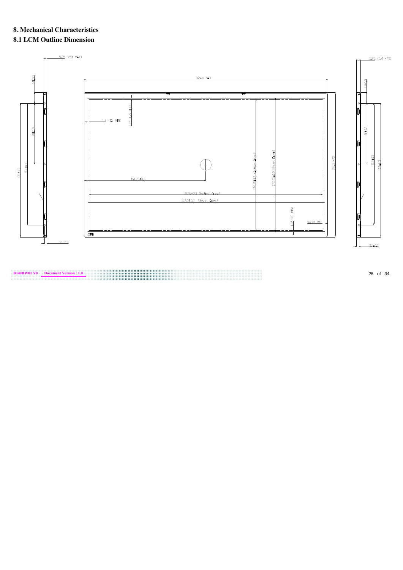# **8. Mechanical Characteristics**

# **8.1 LCM Outline Dimension**



**B140RW01 V0 Document Version : 1.0** 25 of 34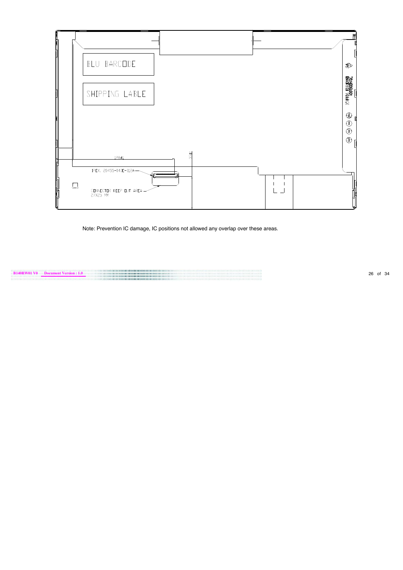

Note: Prevention IC damage, IC positions not allowed any overlap over these areas.

**B140RW01 V0 Document Version : 1.0** 26 of 34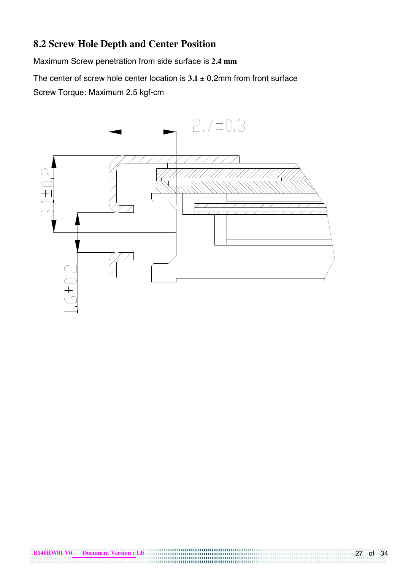# **8.2 Screw Hole Depth and Center Position**

Maximum Screw penetration from side surface is **2.4 mm**

The center of screw hole center location is  $3.1 \pm 0.2$ mm from front surface Screw Torque: Maximum 2.5 kgf-cm

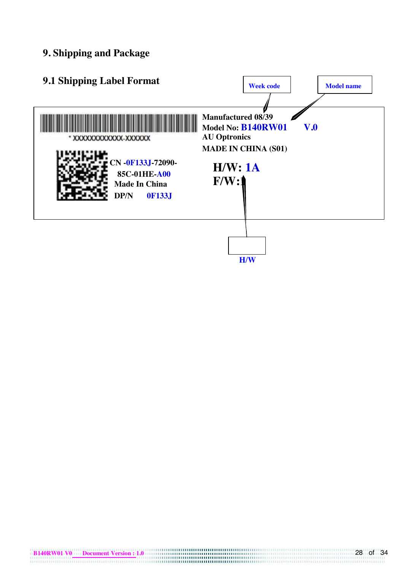### **9. Shipping and Package**